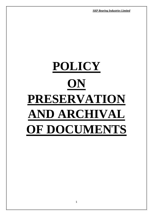*SKP Bearing Industries Limited SKP Bearing Industries Limited*

# **POLICY ON PRESERVATION AND ARCHIVAL OF DOCUMENTS**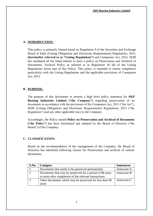## **A. INTRODUCTION:**

This policy is primarily framed based on Regulation 9 of the Securities and Exchange Board of India (Listing Obligations and Disclosure Requirements) Regulations, 2015, **(hereinafter referred to as "Listing Regulations")** and Companies Act, 2013. SEBI has mandated all the listed entities to have a policy on Preservation and Archival of Documents. Archival Policy as referred to in Regulation 30 (8) of the Listing Regulations forms part of this Policy. This policy is intended to ensure compliance particularly with the Listing Regulations and the applicable provisions of Companies Act, 2013.

## **B. PURPOSE:**

The purpose of this documents to present a high level policy statement for **SKP Bearing Industries Limited ("the Company")** regarding preservation of its documents in accordance with the provisions of the Companies Act, 2013 ("the Act"), SEBI (Listing Obligations and Disclosure Requirements) Regulations, 2015 ("the Regulation") and any other applicable laws to the Company.

Accordingly, the Policy named **Policy on Preservation and Archival of Documents ("the Policy")** has been formulated and adopted by the Board of Directors ("the Board") of the Company.

## **C. CLASSIFICATION:**

Based on the recommendation of the management of the Company, the Board of Directors has identified following classes for Preservation and archival of various documents;

| S.No. | Category                                                 | <b>Annexures</b> |
|-------|----------------------------------------------------------|------------------|
|       | Documents that needs to be preserved permanently         | Annexure-A       |
|       | Documents that may be preserved for a period of 08 years | Annexure-B       |
|       | or more after completion of the relevant transactions    |                  |
|       | Other documents which may be preserved for less than 08  | Annexure-C       |
|       | vears                                                    |                  |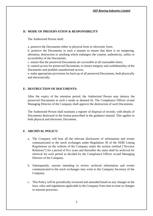## **D. MODE OF PRESERVATION & RESPONSIBILITY**

The Authorized Person shall:

a. preserve the Documents either in physical form or electronic form;

b. preserve the Documents in such a manner to ensure that there is no tampering, alteration, destruction or anything which endangers the content, authenticity, utility or accessibility of the Documents;

c. ensure that the preserved Documents are accessible at all reasonable times;

d. control access for preserved Documents, to ensure integrity and confidentiality of the Documents and prohibit unauthorised access;

e. make appropriate provisions for back up of all preserved Documents, both physically and electronically.

## **E. DESTRUCTION OF DOCUMENTS:**

After the expiry of the retention period, the Authorized Person may destroy the preserved Documents in such a mode as deemed fit. The Compliance Officer or/and Managing Director of the Company shall approve the destruction of such Documents.

The Authorized Person shall maintain a register of disposal of records, with details of Documents destroyed in the format prescribed in the guidance manual. This applies to both physical and electronic Document.

## **F. ARCHIVAL POLICY:**

- a. The Company will host all the relevant disclosures of information and events communicated to the stock exchanges under Regulation 30 of the SEBI Listing Regulations on the website of the Company under the section entitled ["Investor Relations"] for a period of five years and thereafter the same shall be archived for retrieval for such period as decided by the Compliance Officer or/and Managing Director of the Company.
- b. Subsequently, anyone intending to review archived information and events communicated to the stock exchanges may write to the Company Secretary of the Company.
- c. This Policy will be periodically reviewed and amended based on any changes in the laws, rules and regulations applicable to the Company from time to time or changes in internal processes.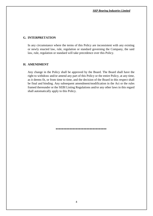#### **G. INTERPRETATION**

In any circumstance where the terms of this Policy are inconsistent with any existing or newly enacted law, rule, regulation or standard governing the Company, the said law, rule, regulation or standard will take precedence over this Policy.

#### **H. AMENDMENT**

Any change in the Policy shall be approved by the Board. The Board shall have the right to withdraw and/or amend any part of this Policy or the entire Policy, at any time, as it deems fit, or from time to time, and the decision of the Board in this respect shall be final and binding. Any subsequent amendment/modification in the Act or the rules framed thereunder or the SEBI Listing Regulations and/or any other laws in this regard shall automatically apply to this Policy.

**\*\*\*\*\*\*\*\*\*\*\*\*\*\*\*\*\*\*\*\*\*\*\*\*\*\*\*\*\*\*\*\*\***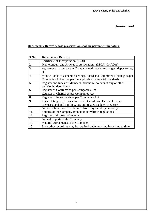# **Annexure-A**

## **Documents / Record whose preservation shall be permanent in nature**

| S.No. | <b>Documents / Records</b>                                            |  |
|-------|-----------------------------------------------------------------------|--|
| 1.    | Certificate of Incorporation- (COI)                                   |  |
| 2.    | Memorandum and Articles of Association - (MOA) & (AOA)                |  |
| 3.    | Agreements made by the Company with stock exchanges, depositories,    |  |
|       | etc                                                                   |  |
| 4.    | Minute Books of General Meetings, Board and Committee Meetings as per |  |
|       | Companies Act and as per the applicable Secretarial Standards         |  |
| 5.    | Register and Index of Members, debenture-holders, if any or other     |  |
|       | security holders, if any                                              |  |
| 6.    | Register of Contracts as per Companies Act                            |  |
| 7.    | Register of Charges as per Companies Act                              |  |
| 8.    | Register of Investments as per Companies Act                          |  |
| 9.    | Files relating to premises viz. Title Deeds/Lease Deeds of owned      |  |
|       | premises/land and building, etc. and related Ledger / Register        |  |
| 10.   | Authorization / licenses obtained from any statutory authority        |  |
| 11.   | Policies of the Company framed under various regulations              |  |
| 12.   | Register of disposal of records                                       |  |
| 13.   | Annual Reports of the Company                                         |  |
| 14.   | Material Agreements of the Company                                    |  |
| 15.   | Such other records as may be required under any law from time to time |  |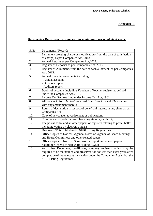## *SKP Bearing Industries Limited SKP Bearing Industries Limited*

## **Annexure-B**

## **Documents / Records to be preserved for a minimum period of eight years.**

| $\overline{S}$ .No. | Documents / Records                                                           |  |
|---------------------|-------------------------------------------------------------------------------|--|
| 1.                  | Instrument creating charge or modification (from the date of satisfaction     |  |
|                     | of charge) as per Companies Act, 2013.                                        |  |
| 2.                  | Annual Returns as per Companies Act, 2013.                                    |  |
| $\overline{3}$ .    | Register of Deposits as per Companies Act, 2013.                              |  |
| 4.                  | Register of Allotment (from the date of each allotment) as per Companies      |  |
|                     | Act, 2013.                                                                    |  |
| 5.                  | Annual financial statements including:                                        |  |
|                     | - Annual accounts                                                             |  |
|                     | - Directors report                                                            |  |
|                     | - Auditors report                                                             |  |
| 6.                  | Books of accounts including Vouchers / Voucher register as defined            |  |
|                     | under the Companies Act, 2013.                                                |  |
| 7.                  | Income Tax Returns filed under Income Tax Act, 1961.                          |  |
| 8.                  | All notices in form MBP-1 received from Directors and KMPs along              |  |
|                     | with any amendment thereto                                                    |  |
| 9.                  | Return of declaration in respect of beneficial interest in any share as per   |  |
|                     | <b>Companies Act</b>                                                          |  |
| 10.                 | Copy of newspaper advertisement or publications                               |  |
| 11.                 | Compliance Reports received from any statutory authority                      |  |
| 12.                 | The postal ballot and all other papers or registers relating to postal ballot |  |
|                     | including voting by electronic means                                          |  |
| 13.                 | Disclosure/Return filed under SEBI Listing Regulations                        |  |
| 14.                 | Office Copies of Notices, Agenda, Notes on Agenda of Board Meetings           |  |
|                     | and Board Committees and other related papers                                 |  |
| 15.                 | Office Copies of Notices, Scrutinizer's Report and related papers             |  |
|                     | regarding General Meetings (including AGM)                                    |  |
| 16.                 | Any other Document, certificates, statutory registers which may be            |  |
|                     | required to be maintained and preserved for not less than eight years after   |  |
|                     | completion of the relevant transaction under the Companies Act and/or the     |  |
|                     | <b>SEBI Listing Regulations</b>                                               |  |